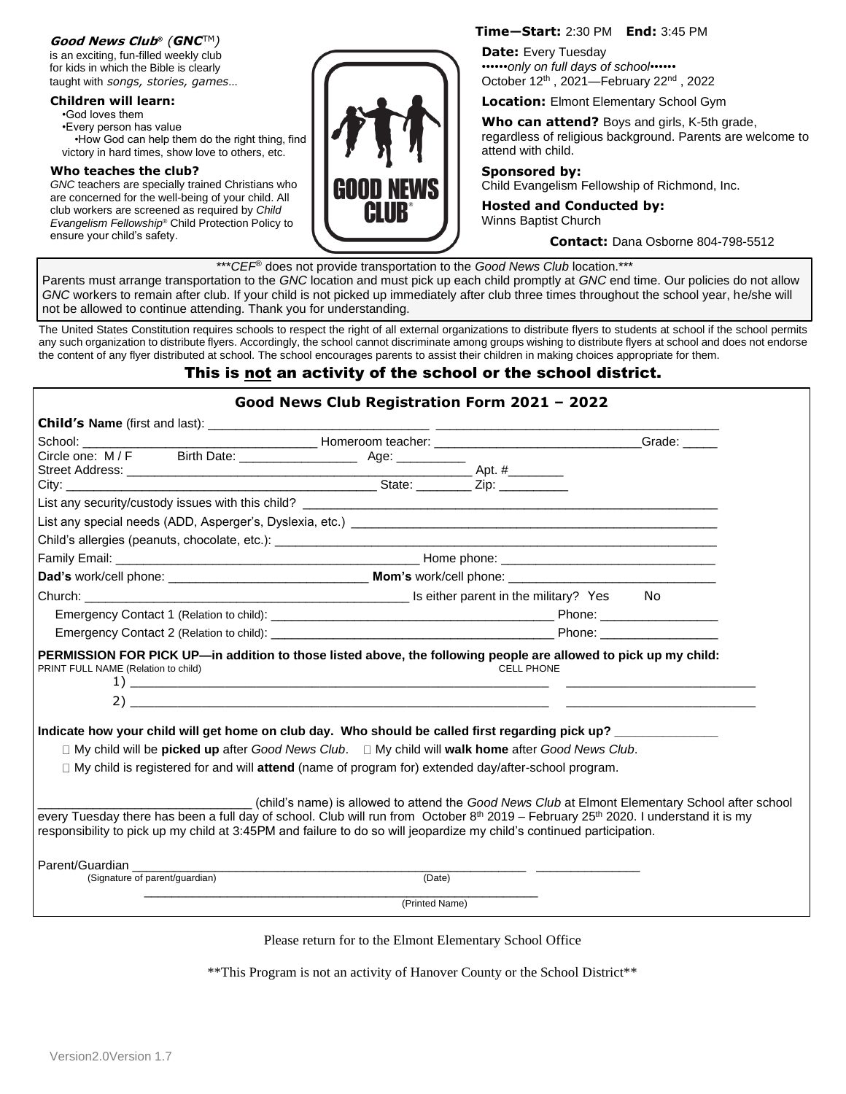### **Good News Club**® *(GNC*TM*)*

is an exciting, fun-filled weekly club for kids in which the Bible is clearly taught with *songs, stories, games*…

### **Children will learn:**

•God loves them •Every person has value •How God can help them do the right thing, find victory in hard times, show love to others, etc.

#### **Who teaches the club?**

*GNC* teachers are specially trained Christians who are concerned for the well-being of your child. All club workers are screened as required by *Child Evangelism Fellowship*® Child Protection Policy to ensure your child's safety.



### **Time—Start:** 2:30 PM **End:** 3:45 PM

**Date:** Every Tuesday ••••••*only on full days of school*•••••• October 12<sup>th</sup>, 2021–February 22<sup>nd</sup>, 2022

**Location:** Elmont Elementary School Gym

**Who can attend?** Boys and girls, K-5th grade, regardless of religious background. Parents are welcome to attend with child.

# **Sponsored by:**

Child Evangelism Fellowship of Richmond, Inc.

**Hosted and Conducted by:** Winns Baptist Church

**Contact:** Dana Osborne 804-798-5512

\*\*\**CEF*® does not provide transportation to the *Good News Club* location.\*\*\*

Parents must arrange transportation to the *GNC* location and must pick up each child promptly at *GNC* end time. Our policies do not allow *GNC* workers to remain after club. If your child is not picked up immediately after club three times throughout the school year, he/she will not be allowed to continue attending. Thank you for understanding.

The United States Constitution requires schools to respect the right of all external organizations to distribute flyers to students at school if the school permits any such organization to distribute flyers. Accordingly, the school cannot discriminate among groups wishing to distribute flyers at school and does not endorse the content of any flyer distributed at school. The school encourages parents to assist their children in making choices appropriate for them.

## This is not an activity of the school or the school district.

## **Good News Club Registration Form 2021 – 2022 Child's Name** (first and last): \_\_\_\_\_\_\_\_\_\_\_\_\_\_\_\_\_\_\_\_\_\_\_\_\_\_\_\_\_\_\_\_ \_\_\_\_\_\_\_\_\_\_\_\_\_\_\_\_\_\_\_\_\_\_\_\_\_\_\_\_\_\_\_\_\_\_\_\_\_\_\_\_\_ School: \_\_\_\_\_\_\_\_\_\_\_\_\_\_\_\_\_\_\_\_\_\_\_\_\_\_\_\_\_\_\_\_\_\_ Homeroom teacher: \_\_\_\_\_\_\_\_\_\_\_\_\_\_\_\_\_\_\_\_\_\_\_\_\_\_\_\_\_\_Grade: \_\_\_\_\_ Circle one: M / F Birth Date: \_\_\_\_\_\_\_\_\_\_\_\_\_\_\_\_\_ Age: \_\_\_\_\_\_\_\_\_\_ Street Address: \_\_\_\_\_\_\_\_\_\_\_\_\_\_\_\_\_\_\_\_\_\_\_\_\_\_\_\_\_\_\_\_\_\_\_\_\_\_\_\_\_\_\_\_\_\_\_\_\_\_ Apt. #\_\_\_\_\_\_\_\_ City: \_\_\_\_\_\_\_\_\_\_\_\_\_\_\_\_\_\_\_\_\_\_\_\_\_\_\_\_\_\_\_\_\_\_\_\_\_\_\_\_\_\_\_\_\_ State: \_\_\_\_\_\_\_\_ Zip: \_\_\_\_\_\_\_\_\_\_ List any security/custody issues with this child? List any special needs (ADD, Asperger's, Dyslexia, etc.) \_\_\_\_\_\_\_\_\_\_\_\_\_\_\_\_\_\_\_\_\_\_\_\_\_\_\_\_\_\_\_\_\_\_\_\_\_\_\_\_\_\_\_\_\_\_\_\_\_\_\_\_\_ Child's allergies (peanuts, chocolate, etc.): \_\_\_\_\_\_\_\_\_\_\_\_\_\_\_\_\_\_\_\_\_\_\_\_\_\_\_\_\_\_\_\_\_\_ Family Email: \_\_\_\_\_\_\_\_\_\_\_\_\_\_\_\_\_\_\_\_\_\_\_\_\_\_\_\_\_\_\_\_\_\_\_\_\_\_\_\_\_\_\_\_ Home phone: \_\_\_\_\_\_\_\_\_\_\_\_\_\_\_\_\_\_\_\_\_\_\_\_\_\_\_\_\_\_\_ **Dad's** work/cell phone: \_\_\_\_\_\_\_\_\_\_\_\_\_\_\_\_\_\_\_\_\_\_\_\_\_\_\_\_\_ **Mom's** work/cell phone: \_\_\_\_\_\_\_\_\_\_\_\_\_\_\_\_\_\_\_\_\_\_\_\_\_\_\_\_\_\_ Church: \_\_\_\_\_\_\_\_\_\_\_\_\_\_\_\_\_\_\_\_\_\_\_\_\_\_\_\_\_\_\_\_\_\_\_\_\_\_\_\_\_\_\_\_\_\_\_ Is either parent in the military? Yes No Emergency Contact 1 (Relation to child): \_\_\_\_\_\_\_\_\_\_\_\_\_\_\_\_\_\_\_\_\_\_\_\_\_\_\_\_\_\_\_\_\_\_\_\_\_\_\_\_\_ Phone: \_\_\_\_\_\_\_\_\_\_\_\_\_\_\_\_\_ Emergency Contact 2 (Relation to child): \_\_\_\_\_\_\_\_\_\_\_\_\_\_\_\_\_\_\_\_\_\_\_\_\_\_\_\_\_\_\_\_\_\_\_\_\_\_\_\_\_ Phone: \_\_\_\_\_\_\_\_\_\_\_\_\_\_\_\_\_ **PERMISSION FOR PICK UP—in addition to those listed above, the following people are allowed to pick up my child:**<br>PRINT FULL NAME (Relation to child)<br>CELL PHONE PRINT FULL NAME (Relation to child) 1)  $2)$ Indicate how your child will get home on club day. Who should be called first regarding pick up? □ My child will be **picked up** after *Good News Club*. □ My child will **walk home** after *Good News Club*. □ My child is registered for and will attend (name of program for) extended day/after-school program.

\_\_\_\_\_\_\_\_\_\_\_\_\_\_\_\_\_\_\_\_\_\_\_\_\_\_\_\_\_\_\_ (child's name) is allowed to attend the *Good News Club* at Elmont Elementary School after school every Tuesday there has been a full day of school. Club will run from October  $8<sup>th</sup>$  2019 – February 25<sup>th</sup> 2020. I understand it is my responsibility to pick up my child at 3:45PM and failure to do so will jeopardize my child's continued participation.

Parent/Guardian

(Signature of parent/guardian) (Date)

 \_\_\_\_\_\_\_\_\_\_\_\_\_\_\_\_\_\_\_\_\_\_\_\_\_\_\_\_\_\_\_\_\_\_\_\_\_\_\_\_\_\_\_\_\_\_\_\_\_\_\_\_\_\_\_\_\_ (Printed Name)

Please return for to the Elmont Elementary School Office

\*\*This Program is not an activity of Hanover County or the School District\*\*